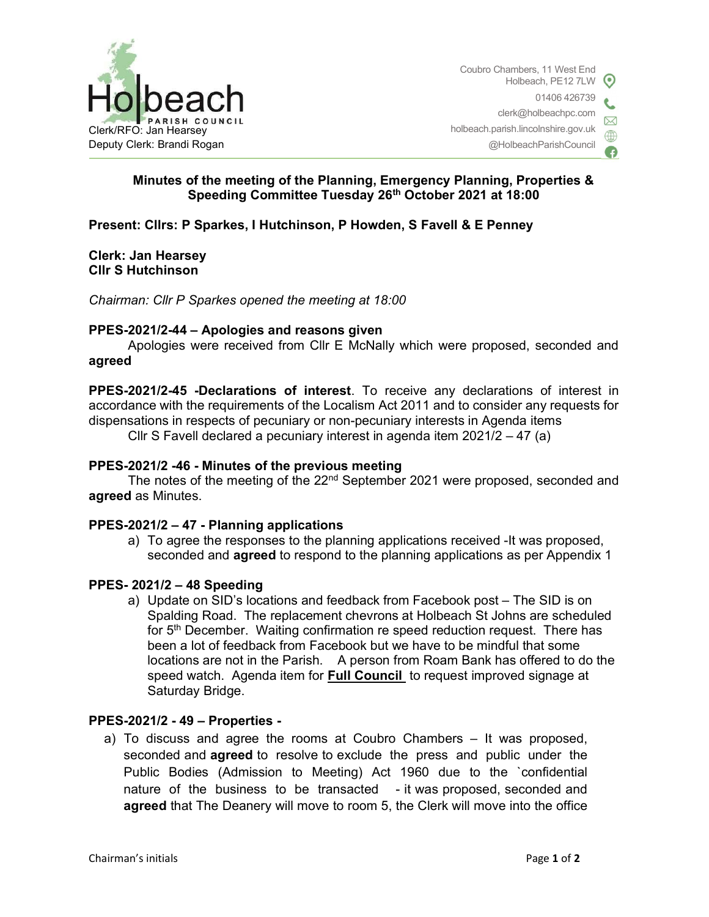

## Minutes of the meeting of the Planning, Emergency Planning, Properties & Speeding Committee Tuesday 26th October 2021 at 18:00

## Present: Cllrs: P Sparkes, I Hutchinson, P Howden, S Favell & E Penney

### Clerk: Jan Hearsey Cllr S Hutchinson

Chairman: Cllr P Sparkes opened the meeting at 18:00

### PPES-2021/2-44 – Apologies and reasons given

Apologies were received from Cllr E McNally which were proposed, seconded and agreed

PPES-2021/2-45 -Declarations of interest. To receive any declarations of interest in accordance with the requirements of the Localism Act 2011 and to consider any requests for dispensations in respects of pecuniary or non-pecuniary interests in Agenda items

Cllr S Favell declared a pecuniary interest in agenda item 2021/2 – 47 (a)

### PPES-2021/2 -46 - Minutes of the previous meeting

The notes of the meeting of the 22<sup>nd</sup> September 2021 were proposed, seconded and agreed as Minutes.

#### PPES-2021/2 – 47 - Planning applications

a) To agree the responses to the planning applications received -It was proposed, seconded and **agreed** to respond to the planning applications as per Appendix 1

#### PPES- 2021/2 – 48 Speeding

a) Update on SID's locations and feedback from Facebook post – The SID is on Spalding Road. The replacement chevrons at Holbeach St Johns are scheduled for 5<sup>th</sup> December. Waiting confirmation re speed reduction request. There has been a lot of feedback from Facebook but we have to be mindful that some locations are not in the Parish. A person from Roam Bank has offered to do the speed watch. Agenda item for **Full Council** to request improved signage at Saturday Bridge.

## PPES-2021/2 - 49 – Properties -

a) To discuss and agree the rooms at Coubro Chambers – It was proposed, seconded and agreed to resolve to exclude the press and public under the Public Bodies (Admission to Meeting) Act 1960 due to the `confidential nature of the business to be transacted - it was proposed, seconded and agreed that The Deanery will move to room 5, the Clerk will move into the office